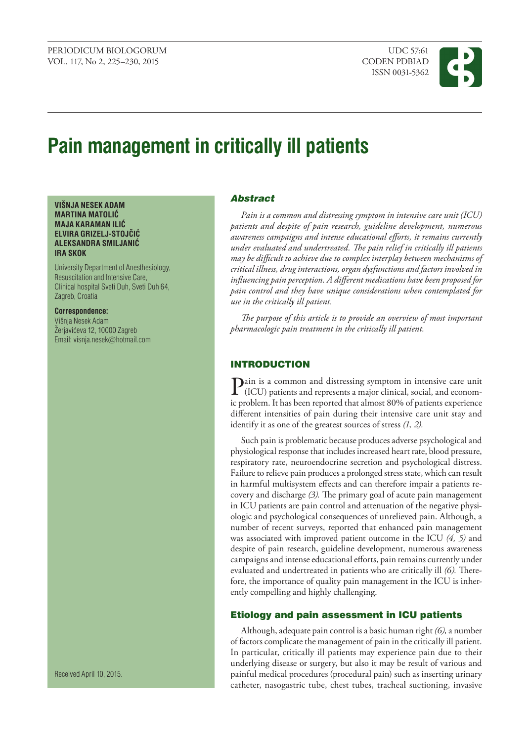

# **Pain management in critically ill patients**

#### **VIŠNJA NESEK ADAM MARTINA MATOLIĆ MAJA KARAMAN ILIĆ ELVIRA GRIZELJ-STOJČIĆ ALEKSANDRA SMILJANIĆ IRA SKOK**

University Department of Anesthesiology, Resuscitation and Intensive Care, Clinical hospital Sveti Duh, Sveti Duh 64, Zagreb, Croatia

## **Correspondence:**

Višnia Nesek Adam Žerjavićeva 12, 10000 Zagreb Email: visnja.nesek@hotmail.com

Received April 10, 2015.

## Abstract

*Pain is a common and distressing symptom in intensive care unit (ICU) patients and despite of pain research, guideline development, numerous awareness campaigns and intense educational efforts, it remains currently under evaluated and undertreated. The pain relief in critically ill patients may be difficult to achieve due to complex interplay between mechanisms of critical illness, drug interactions, organ dysfunctions and factors involved in influencing pain perception. A different medications have been proposed for pain control and they have unique considerations when contemplated for use in the critically ill patient.*

*The purpose of this article is to provide an overview of most important pharmacologic pain treatment in the critically ill patient.*

## **INTRODUCTION**

 $\sum$  (ICU) patients and represents a major clinical, social, and econom-<br> $\sum_{i=1}^{n}$ ic problem. It has been reported that almost 80% of patients experience different intensities of pain during their intensive care unit stay and identify it as one of the greatest sources of stress *(1, 2).*

Such pain is problematic because produces adverse psychological and physiological response that includes increased heart rate, blood pressure, respiratory rate, neuroendocrine secretion and psychological distress. Failure to relieve pain produces a prolonged stress state, which can result in harmful multisystem effects and can therefore impair a patients recovery and discharge *(3).* The primary goal of acute pain management in ICU patients are pain control and attenuation of the negative physiologic and psychological consequences of unrelieved pain. Although, a number of recent surveys, reported that enhanced pain management was associated with improved patient outcome in the ICU *(4, 5)* and despite of pain research, guideline development, numerous awareness campaigns and intense educational efforts, pain remains currently under evaluated and undertreated in patients who are critically ill *(6).* Therefore, the importance of quality pain management in the ICU is inherently compelling and highly challenging.

#### Etiology and pain assessment in ICU patients

Although, adequate pain control is a basic human right *(6),* a number of factors complicate the management of pain in the critically ill patient. In particular, critically ill patients may experience pain due to their underlying disease or surgery, but also it may be result of various and painful medical procedures (procedural pain) such as inserting urinary catheter, nasogastric tube, chest tubes, tracheal suctioning, invasive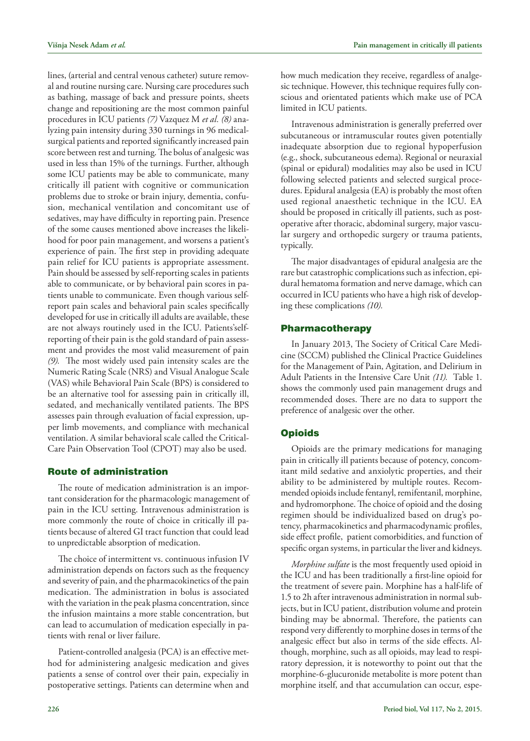lines, (arterial and central venous catheter) suture removal and routine nursing care. Nursing care procedures such as bathing, massage of back and pressure points, sheets change and repositioning are the most common painful procedures in ICU patients *(7)* Vazquez M *et al. (8)* analyzing pain intensity during 330 turnings in 96 medicalsurgical patients and reported significantly increased pain score between rest and turning. The bolus of analgesic was used in less than 15% of the turnings. Further, although some ICU patients may be able to communicate, many critically ill patient with cognitive or communication problems due to stroke or brain injury, dementia, confusion, mechanical ventilation and concomitant use of sedatives, may have difficulty in reporting pain. Presence of the some causes mentioned above increases the likelihood for poor pain management, and worsens a patient's experience of pain. The first step in providing adequate pain relief for ICU patients is appropriate assessment. Pain should be assessed by self-reporting scales in patients able to communicate, or by behavioral pain scores in patients unable to communicate. Even though various selfreport pain scales and behavioral pain scales specifically developed for use in critically ill adults are available, these are not always routinely used in the ICU. Patients'selfreporting of their pain is the gold standard of pain assessment and provides the most valid measurement of pain *(9).* The most widely used pain intensity scales are the Numeric Rating Scale (NRS) and Visual Analogue Scale (VAS) while Behavioral Pain Scale (BPS) is considered to be an alternative tool for assessing pain in critically ill, sedated, and mechanically ventilated patients. The BPS assesses pain through evaluation of facial expression, upper limb movements, and compliance with mechanical ventilation. A similar behavioral scale called the Critical-Care Pain Observation Tool (CPOT) may also be used.

#### Route of administration

The route of medication administration is an important consideration for the pharmacologic management of pain in the ICU setting. Intravenous administration is more commonly the route of choice in critically ill patients because of altered GI tract function that could lead to unpredictable absorption of medication.

The choice of intermittent vs. continuous infusion IV administration depends on factors such as the frequency and severity of pain, and the pharmacokinetics of the pain medication. The administration in bolus is associated with the variation in the peak plasma concentration, since the infusion maintains a more stable concentration, but can lead to accumulation of medication especially in patients with renal or liver failure.

Patient-controlled analgesia (PCA) is an effective method for administering analgesic medication and gives patients a sense of control over their pain, expecialiy in postoperative settings. Patients can determine when and

how much medication they receive, regardless of analgesic technique. However, this technique requires fully conscious and orientated patients which make use of PCA limited in ICU patients.

Intravenous administration is generally preferred over subcutaneous or intramuscular routes given potentially inadequate absorption due to regional hypoperfusion (e.g., shock, subcutaneous edema). Regional or neuraxial (spinal or epidural) modalities may also be used in ICU following selected patients and selected surgical procedures. Epidural analgesia (EA) is probably the most often used regional anaesthetic technique in the ICU. EA should be proposed in critically ill patients, such as postoperative after thoracic, abdominal surgery, major vascular surgery and orthopedic surgery or trauma patients, typically.

The major disadvantages of epidural analgesia are the rare but catastrophic complications such as infection, epidural hematoma formation and nerve damage, which can occurred in ICU patients who have a high risk of developing these complications *(10).*

#### Pharmacotherapy

In January 2013, The Society of Critical Care Medicine (SCCM) published the Clinical Practice Guidelines for the Management of Pain, Agitation, and Delirium in Adult Patients in the Intensive Care Unit *(11).* Table 1. shows the commonly used pain management drugs and recommended doses. There are no data to support the preference of analgesic over the other.

## **Opioids**

Opioids are the primary medications for managing pain in critically ill patients because of potency, concomitant mild sedative and anxiolytic properties, and their ability to be administered by multiple routes. Recommended opioids include fentanyl, remifentanil, morphine, and hydromorphone. The choice of opioid and the dosing regimen should be individualized based on drug's potency, pharmacokinetics and pharmacodynamic profiles, side effect profile, patient comorbidities, and function of specific organ systems, in particular the liver and kidneys.

*Morphine sulfate* is the most frequently used opioid in the ICU and has been traditionally a first-line opioid for the treatment of severe pain. Morphine has a half-life of 1.5 to 2h after intravenous administration in normal subjects, but in ICU patient, distribution volume and protein binding may be abnormal. Therefore, the patients can respond very differently to morphine doses in terms of the analgesic effect but also in terms of the side effects. Although, morphine, such as all opioids, may lead to respiratory depression, it is noteworthy to point out that the morphine-6-glucuronide metabolite is more potent than morphine itself, and that accumulation can occur, espe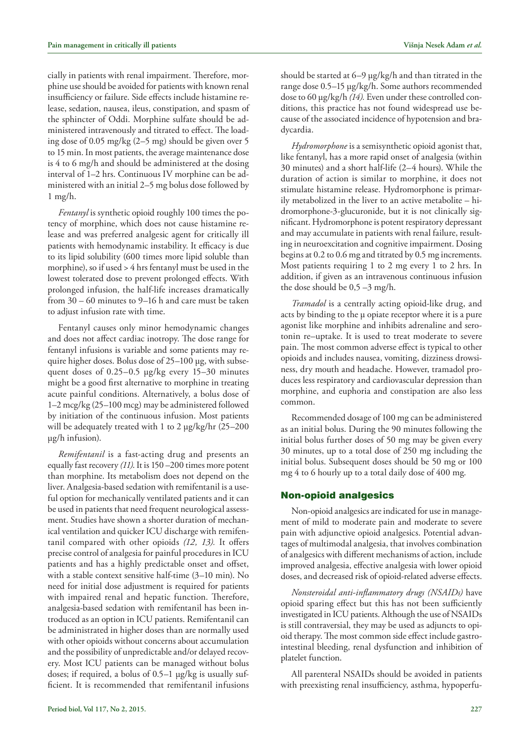cially in patients with renal impairment. Therefore, morphine use should be avoided for patients with known renal insufficiency or failure. Side effects include histamine release, sedation, nausea, ileus, constipation, and spasm of the sphincter of Oddi. Morphine sulfate should be administered intravenously and titrated to effect. The loading dose of 0.05 mg/kg (2–5 mg) should be given over 5 to 15 min. In most patients, the average maintenance dose is 4 to 6 mg/h and should be administered at the dosing interval of 1–2 hrs. Continuous IV morphine can be administered with an initial 2–5 mg bolus dose followed by 1 mg/h.

*Fentanyl* is synthetic opioid roughly 100 times the potency of morphine, which does not cause histamine release and was preferred analgesic agent for critically ill patients with hemodynamic instability. It efficacy is due to its lipid solubility (600 times more lipid soluble than morphine), so if used > 4 hrs fentanyl must be used in the lowest tolerated dose to prevent prolonged effects. With prolonged infusion, the half-life increases dramatically from 30 – 60 minutes to 9–16 h and care must be taken to adjust infusion rate with time.

Fentanyl causes only minor hemodynamic changes and does not affect cardiac inotropy. The dose range for fentanyl infusions is variable and some patients may require higher doses. Bolus dose of 25–100 µg, with subsequent doses of 0.25–0.5 µg/kg every 15–30 minutes might be a good first alternative to morphine in treating acute painful conditions. Alternatively, a bolus dose of 1–2 mcg/kg (25–100 mcg) may be administered followed by initiation of the continuous infusion. Most patients will be adequately treated with 1 to 2 µg/kg/hr (25–200) µg/h infusion).

*Remifentanil* is a fast-acting drug and presents an equally fast recovery *(11)*. It is 150 –200 times more potent than morphine. Its metabolism does not depend on the liver. Analgesia-based sedation with remifentanil is a useful option for mechanically ventilated patients and it can be used in patients that need frequent neurological assessment. Studies have shown a shorter duration of mechanical ventilation and quicker ICU discharge with remifentanil compared with other opioids *(12, 13).* It offers precise control of analgesia for painful procedures in ICU patients and has a highly predictable onset and offset, with a stable context sensitive half-time (3–10 min). No need for initial dose adjustment is required for patients with impaired renal and hepatic function. Therefore, analgesia-based sedation with remifentanil has been introduced as an option in ICU patients. Remifentanil can be administrated in higher doses than are normally used with other opioids without concerns about accumulation and the possibility of unpredictable and/or delayed recovery. Most ICU patients can be managed without bolus doses; if required, a bolus of 0.5–1 µg/kg is usually sufficient. It is recommended that remifentanil infusions

should be started at 6–9 µg/kg/h and than titrated in the range dose 0.5–15 µg/kg/h. Some authors recommended dose to 60 µg/kg/h *(14).* Even under these controlled conditions, this practice has not found widespread use because of the associated incidence of hypotension and bradycardia.

*Hydromorphone* is a semisynthetic opioid agonist that, like fentanyl, has a more rapid onset of analgesia (within 30 minutes) and a short half-life (2–4 hours). While the duration of action is similar to morphine, it does not stimulate histamine release. Hydromorphone is primarily metabolized in the liver to an active metabolite – hidromorphone-3-glucuronide, but it is not clinically significant. Hydromorphone is potent respiratory depressant and may accumulate in patients with renal failure, resulting in neuroexcitation and cognitive impairment. Dosing begins at 0.2 to 0.6 mg and titrated by 0.5 mg increments. Most patients requiring 1 to 2 mg every 1 to 2 hrs. In addition, if given as an intravenous continuous infusion the dose should be  $0.5 - 3$  mg/h.

*Tramadol* is a centrally acting opioid-like drug, and acts by binding to the µ opiate receptor where it is a pure agonist like morphine and inhibits adrenaline and serotonin re–uptake. It is used to treat moderate to severe pain. The most common adverse effect is typical to other opioids and includes nausea, vomiting, dizziness drowsiness, dry mouth and headache. However, tramadol produces less respiratory and cardiovascular depression than morphine, and euphoria and constipation are also less common.

Recommended dosage of 100 mg can be administered as an initial bolus. During the 90 minutes following the initial bolus further doses of 50 mg may be given every 30 minutes, up to a total dose of 250 mg including the initial bolus. Subsequent doses should be 50 mg or 100 mg 4 to 6 hourly up to a total daily dose of 400 mg.

#### Non-opioid analgesics

Non-opioid analgesics are indicated for use in management of mild to moderate pain and moderate to severe pain with adjunctive opioid analgesics. Potential advantages of multimodal analgesia, that involves combination of analgesics with different mechanisms of action, include improved analgesia, effective analgesia with lower opioid doses, and decreased risk of opioid-related adverse effects.

*Nonsteroidal anti-inflammatory drugs (NSAIDs)* have opioid sparing effect but this has not been sufficiently investigated in ICU patients. Although the use of NSAIDs is still contraversial, they may be used as adjuncts to opioid therapy. The most common side effect include gastrointestinal bleeding, renal dysfunction and inhibition of platelet function.

All parenteral NSAIDs should be avoided in patients with preexisting renal insufficiency, asthma, hypoperfu-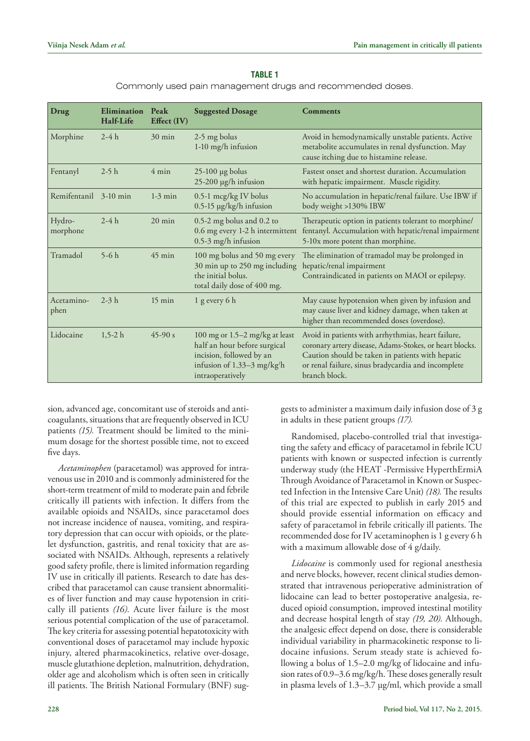#### **Table 1**

Commonly used pain management drugs and recommended doses.

| <b>Drug</b>           | Elimination<br>Half-Life | Peak<br>Effect $(IV)$ | <b>Suggested Dosage</b>                                                                                                                          | <b>Comments</b>                                                                                                                                                                                                                          |
|-----------------------|--------------------------|-----------------------|--------------------------------------------------------------------------------------------------------------------------------------------------|------------------------------------------------------------------------------------------------------------------------------------------------------------------------------------------------------------------------------------------|
| Morphine              | $2-4h$                   | $30 \text{ min}$      | 2-5 mg bolus<br>1-10 mg/h infusion                                                                                                               | Avoid in hemodynamically unstable patients. Active<br>metabolite accumulates in renal dysfunction. May<br>cause itching due to histamine release.                                                                                        |
| Fentanyl              | $2-5h$                   | $4 \text{ min}$       | $25-100$ µg bolus<br>$25-200$ µg/h infusion                                                                                                      | Fastest onset and shortest duration. Accumulation<br>with hepatic impairment. Muscle rigidity.                                                                                                                                           |
| Remifentanil 3-10 min |                          | $1-3$ min             | 0.5-1 mcg/kg IV bolus<br>0.5-15 µg/kg/h infusion                                                                                                 | No accumulation in hepatic/renal failure. Use IBW if<br>body weight >130% IBW                                                                                                                                                            |
| Hydro-<br>morphone    | $2-4h$                   | $20 \text{ min}$      | 0.5-2 mg bolus and 0.2 to<br>0.6 mg every 1-2 h intermittent<br>0.5-3 mg/h infusion                                                              | Therapeutic option in patients tolerant to morphine/<br>fentanyl. Accumulation with hepatic/renal impairment<br>5-10x more potent than morphine.                                                                                         |
| Tramadol              | $5-6h$                   | $45$ min              | 100 mg bolus and 50 mg every<br>30 min up to 250 mg including<br>the initial bolus.<br>total daily dose of 400 mg.                               | The elimination of tramadol may be prolonged in<br>hepatic/renal impairment<br>Contraindicated in patients on MAOI or epilepsy.                                                                                                          |
| Acetamino-<br>phen    | $2-3h$                   | $15 \text{ min}$      | $1$ g every 6 h                                                                                                                                  | May cause hypotension when given by infusion and<br>may cause liver and kidney damage, when taken at<br>higher than recommended doses (overdose).                                                                                        |
| Lidocaine             | $1,5-2 h$                | $45-90 s$             | 100 mg or $1.5-2$ mg/kg at least<br>half an hour before surgical<br>incision, followed by an<br>infusion of $1.33-3$ mg/kg/h<br>intraoperatively | Avoid in patients with arrhythmias, heart failure,<br>coronary artery disease, Adams-Stokes, or heart blocks.<br>Caution should be taken in patients with hepatic<br>or renal failure, sinus bradycardia and incomplete<br>branch block. |

sion, advanced age, concomitant use of steroids and anticoagulants, situations that are frequently observed in ICU patients *(15).* Treatment should be limited to the minimum dosage for the shortest possible time, not to exceed five days.

*Acetaminophen* (paracetamol) was approved for intravenous use in 2010 and is commonly administered for the short-term treatment of mild to moderate pain and febrile critically ill patients with infection. It differs from the available opioids and NSAIDs, since paracetamol does not increase incidence of nausea, vomiting, and respiratory depression that can occur with opioids, or the platelet dysfunction, gastritis, and renal toxicity that are associated with NSAIDs. Although, represents a relatively good safety profile, there is limited information regarding IV use in critically ill patients. Research to date has described that paracetamol can cause transient abnormalities of liver function and may cause hypotension in critically ill patients *(16).* Acute liver failure is the most serious potential complication of the use of paracetamol. The key criteria for assessing potential hepatotoxicity with conventional doses of paracetamol may include hypoxic injury, altered pharmacokinetics, relative over-dosage, muscle glutathione depletion, malnutrition, dehydration, older age and alcoholism which is often seen in critically ill patients. The British National Formulary (BNF) suggests to administer a maximum daily infusion dose of 3 g in adults in these patient groups *(17).*

Randomised, placebo-controlled trial that investigating the safety and efficacy of paracetamol in febrile ICU patients with known or suspected infection is currently underway study (the HEAT -Permissive HyperthErmiA Through Avoidance of Paracetamol in Known or Suspected Infection in the Intensive Care Unit) *(18).* The results of this trial are expected to publish in early 2015 and should provide essential information on efficacy and safety of paracetamol in febrile critically ill patients. The recommended dose for IV acetaminophen is 1 g every 6 h with a maximum allowable dose of 4 g/daily.

*Lidocaine* is commonly used for regional anesthesia and nerve blocks, however, recent clinical studies demonstrated that intravenous perioperative administration of lidocaine can lead to better postoperative analgesia, reduced opioid consumption, improved intestinal motility and decrease hospital length of stay *(19, 20).* Although, the analgesic effect depend on dose, there is considerable individual variability in pharmacokinetic response to lidocaine infusions. Serum steady state is achieved following a bolus of 1.5–2.0 mg/kg of lidocaine and infusion rates of 0.9–3.6 mg/kg/h. These doses generally result in plasma levels of 1.3–3.7 µg/ml, which provide a small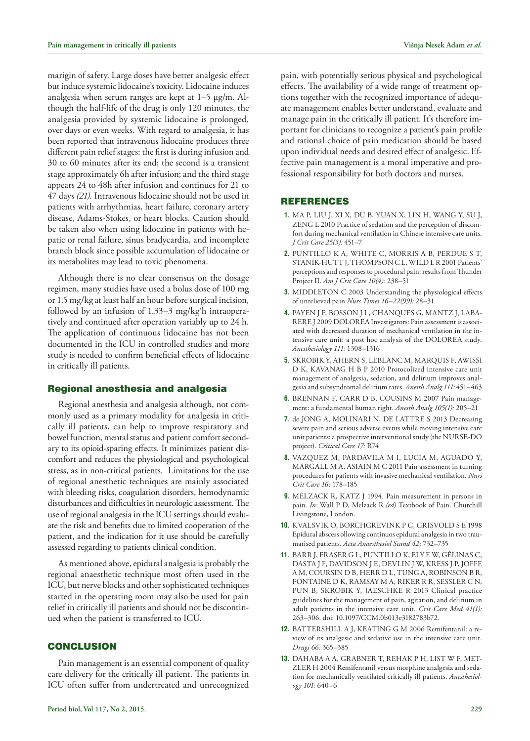marigin of safety. Large doses have better analgesic effect but induce systemic lidocaine's toxicity. Lidocaine induces analgesia when serum ranges are kept at 1–5 µg/m. Although the half-life of the drug is only 120 minutes, the analgesia provided by systemic lidocaine is prolonged, over days or even weeks. With regard to analgesia, it has been reported that intravenous lidocaine produces three different pain relief stages: the first is during infusion and 30 to 60 minutes after its end; the second is a transient stage approximately 6h after infusion; and the third stage appears 24 to 48h after infusion and continues for 21 to 47 days *(21).* Intravenous lidocaine should not be used in patients with arrhythmias, heart failure, coronary artery disease, Adams-Stokes, or heart blocks. Caution should be taken also when using lidocaine in patients with hepatic or renal failure, sinus bradycardia, and incomplete branch block since possible accumulation of lidocaine or its metabolites may lead to toxic phenomena.

Although there is no clear consensus on the dosage regimen, many studies have used a bolus dose of 100 mg or 1.5 mg/kg at least half an hour before surgical incision, followed by an infusion of 1.33–3 mg/kg/ h intraoperatively and continued after operation variably up to 24 h. The application of continuous lidocaine has not been documented in the ICU in controlled studies and more study is needed to confirm beneficial effects of lidocaine in critically ill patients.

# Regional anesthesia and analgesia

Regional anesthesia and analgesia although, not commonly used as a primary modality for analgesia in critically ill patients, can help to improve respiratory and bowel function, mental status and patient comfort secondary to its opioid-sparing effects. It minimizes patient discomfort and reduces the physiological and psychological stress, as in non-critical patients. Limitations for the use of regional anesthetic techniques are mainly associated with bleeding risks, coagulation disorders, hemodynamic disturbances and difficulties in neurologic assessment. The use of regional analgesia in the ICU settings should evaluate the risk and benefits due to limited cooperation of the patient, and the indication for it use should be carefully assessed regarding to patients clinical condition.

As mentioned above, epidural analgesia is probably the regional anaesthetic technique most often used in the ICU, but nerve blocks and other sophisticated techniques started in the operating room may also be used for pain relief in critically ill patients and should not be discontinued when the patient is transferred to ICU.

## **CONCLUSION**

Pain management is an essential component of quality care delivery for the critically ill patient. The patients in ICU often suffer from undertreated and unrecognized

pain, with potentially serious physical and psychological effects. The availability of a wide range of treatment options together with the recognized importance of adequate management enables better understand, evaluate and manage pain in the critically ill patient. It's therefore important for clinicians to recognize a patient's pain profile and rational choice of pain medication should be based upon individual needs and desired effect of analgesic. Effective pain management is a moral imperative and professional responsibility for both doctors and nurses.

## REFERENCES

- **1.** MA P, LIU J, XI X, DU B, YUAN X, [LIN H](http://www.ncbi.nlm.nih.gov/pubmed/?term=Lin H%5BAuthor%5D&cauthor=true&cauthor_uid=20060261), WANG Y, SU J, ZENG L 2010 Practice of sedation and the perception of discomfort during mechanical ventilation in Chinese intensive care units. *J Crit Care 25(3):* 451–7
- **2.** PUNTILLO K A, WHITE C, MORRIS A B, PERDUE S T, STANIK-HUTT J, THOMPSON C L, WILD L R 2001 Patients' perceptions and responses to procedural pain: results from Thunder Project II. *Am J Crit Care 10(4):* 238–51
- **3.** MIDDLETON C 2003 Understanding the physiological effects of unrelieved pain *Nurs Times 16–22(99):* 28–31
- **4.** PAYEN J F, BOSSON J L, CHANQUES G, MANTZ J, LABA-RERE J 2009 DOLOREA Investigators: Pain assessment is associated with decreased duration of mechanical ventilation in the intensive care unit: a post hoc analysis of the DOLOREA study. *Anesthesiology 111:* 1308–1316
- **5.** SKROBIK Y, AHERN S, LEBLANC M, MARQUIS F, AWISSI D K, KAVANAG H B P 2010 Protocolized intensive care unit management of analgesia, sedation, and delirium improves analgesia and subsyndromal delirium rates. *Anesth Analg 111:* 451–463
- **6.** BRENNAN F, CARR D B, COUSINS M 2007 Pain management: a fundamental human right. *[Anesth Analg](http://www.ncbi.nlm.nih.gov/pubmed/17578977) 105(1):* 205–21
- **7.** de JONG A, MOLINARI N, DE LATTRE S 2013 Decreasing severe pain and serious adverse events while moving intensive care unit patients: a prospective interventional study (the NURSE-DO project). *Critical Care 17:* R74
- **8.** VAZQUEZ M, PARDAVILA M I, LUCIA M, AGUADO Y, MARGALL M A, ASIAIN M C 2011 Pain assessment in turning procedures for patients with invasive mechanical ventilation. *Nurs Crit Care 16*: 178–185
- **9.** MELZACK R, KATZ J 1994. Pain measurement in persons in pain. *In:* Wall P D, Melzack R *(ed)* Textbook of Pain. Churchill Livingstone, London.
- **10.** KVALSVIK O, BORCHGREVINK P C, GRISVOLD S E 1998 Epidural abscess ollowing continuos epidural analgesia in two traumatised patients. *Acta Anaesthesiol Scand 42*: 732–735
- **11.** BARR J, FRASER G L, PUNTILLO K, ELY E W, GÉLINAS C, DASTA J F, DAVIDSON J E, DEVLIN J W, KRESS J P, JOFFE A M, COURSIN D B, HERR D L, TUNG A, ROBINSON B R, FONTAINE D K, RAMSAY M A, RIKER R R, SESSLER C N, PUN B, SKROBIK Y, JAESCHKE R 2013 Clinical practice guidelines for the management of pain, agitation, and delirium in adult patients in the intensive care unit. *Crit Care Med 41(1):*  263–306. doi: 10.1097/CCM.0b013e3182783b72.
- **12.** BATTERSHILL A J, KEATING G M 2006 Remifentanil: a review of its analgesic and sedative use in the intensive care unit. *Drugs 66:* 365–385
- **13.** DAHABA A A, GRABNER T, REHAK P H, LIST W F, MET-ZLER H 2004 Remifentanil versus morphine analgesia and sedation for mechanically ventilated critically ill patients. *Anesthesiology 101:* 640–6